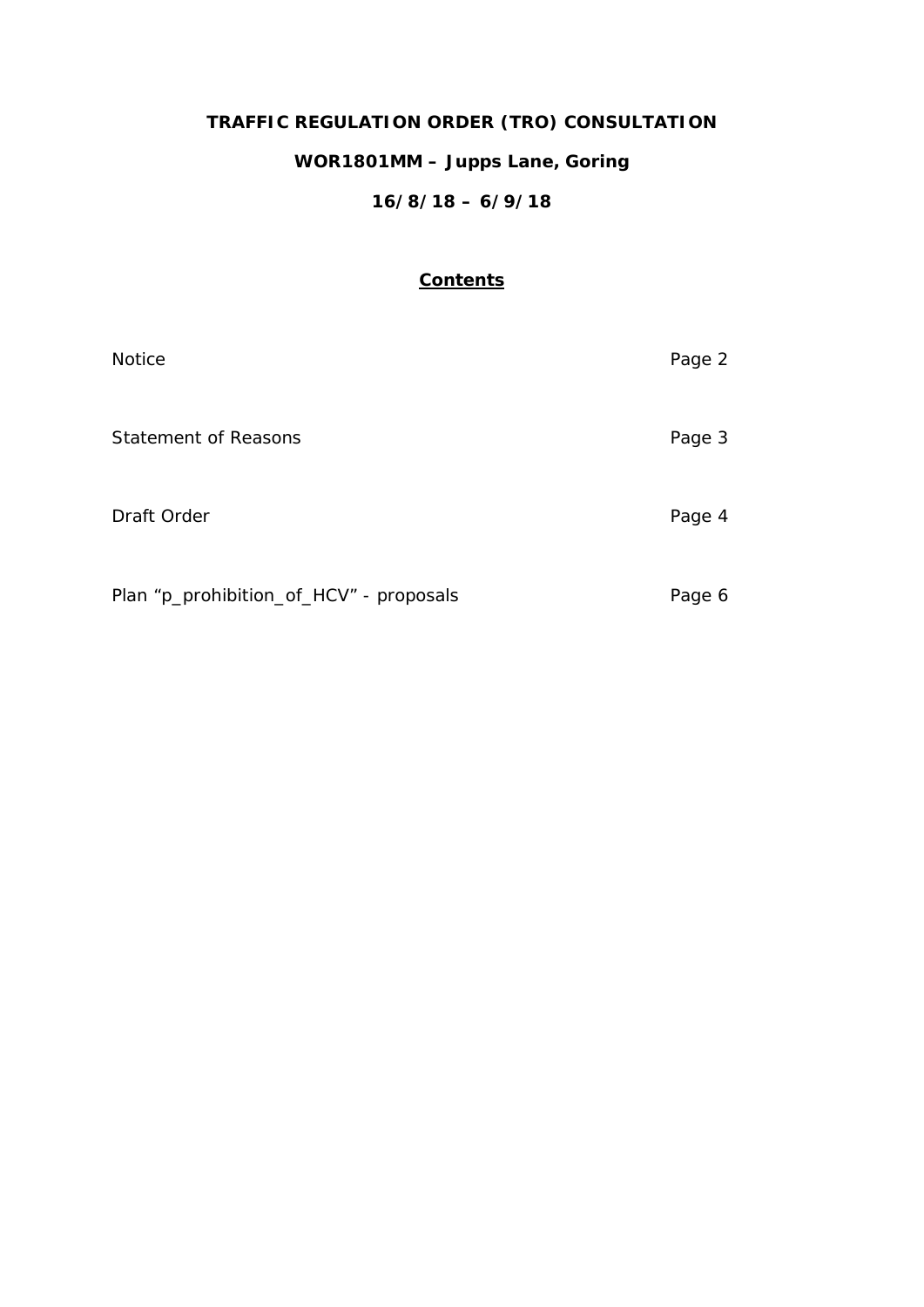# **TRAFFIC REGULATION ORDER (TRO) CONSULTATION WOR1801MM – Jupps Lane, Goring**

# **16/8/18 – 6/9/18**

# **Contents**

| <b>Notice</b>                           | Page 2 |
|-----------------------------------------|--------|
| <b>Statement of Reasons</b>             | Page 3 |
| Draft Order                             | Page 4 |
| Plan "p_prohibition_of_HCV" - proposals | Page 6 |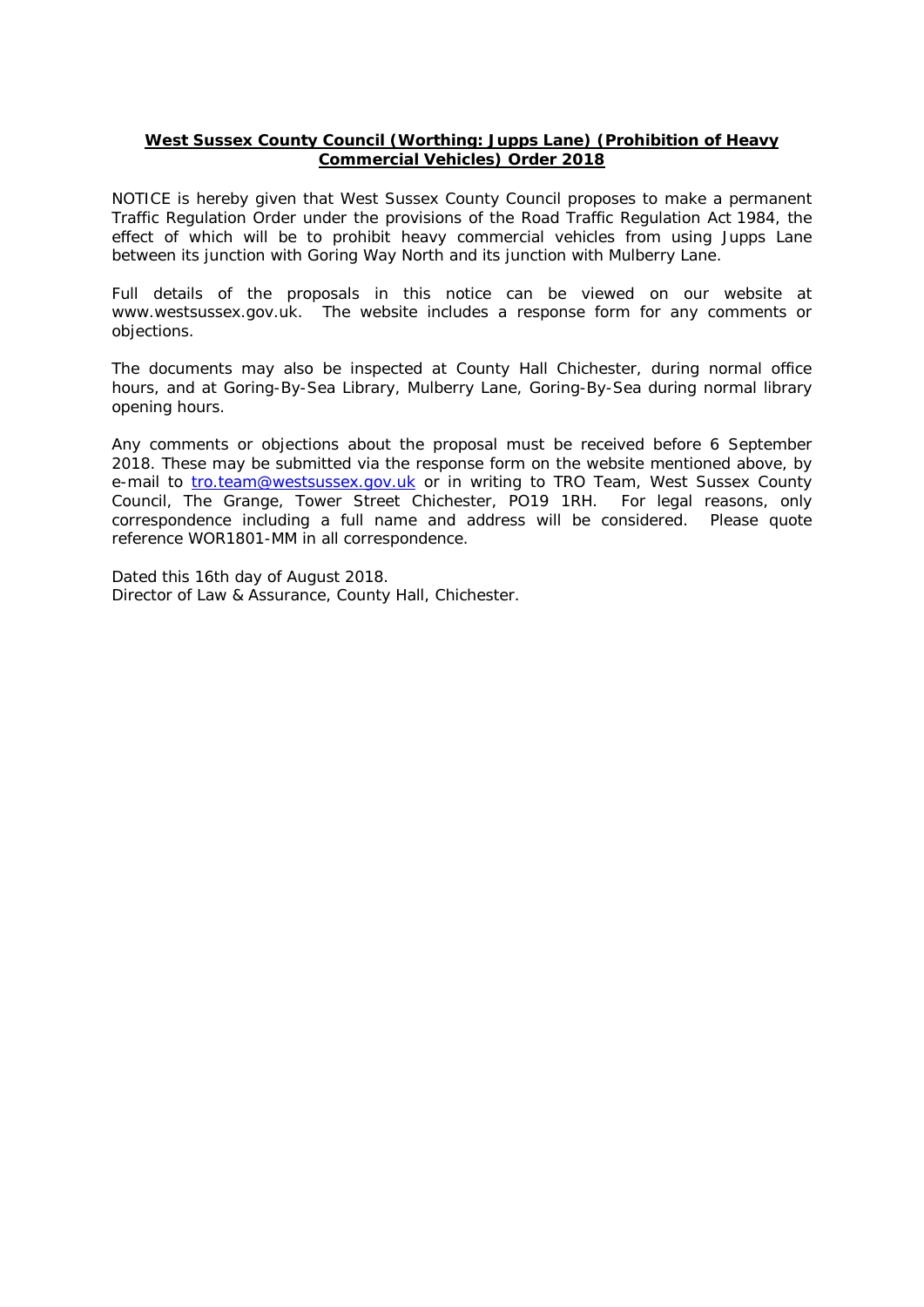# **West Sussex County Council (Worthing: Jupps Lane) (Prohibition of Heavy Commercial Vehicles) Order 2018**

NOTICE is hereby given that West Sussex County Council proposes to make a permanent Traffic Regulation Order under the provisions of the Road Traffic Regulation Act 1984, the effect of which will be to prohibit heavy commercial vehicles from using Jupps Lane between its junction with Goring Way North and its junction with Mulberry Lane.

Full details of the proposals in this notice can be viewed on our website at www.westsussex.gov.uk. The website includes a response form for any comments or objections.

The documents may also be inspected at County Hall Chichester, during normal office hours, and at Goring-By-Sea Library, Mulberry Lane, Goring-By-Sea during normal library opening hours.

Any comments or objections about the proposal must be received before 6 September 2018. These may be submitted via the response form on the website mentioned above, by e-mail to [tro.team@westsussex.gov.uk](mailto:tro.team@westsussex.gov.uk) or in writing to TRO Team, West Sussex County Council, The Grange, Tower Street Chichester, PO19 1RH. For legal reasons, only correspondence including a full name and address will be considered. Please quote reference WOR1801-MM in all correspondence.

Dated this 16th day of August 2018. Director of Law & Assurance, County Hall, Chichester.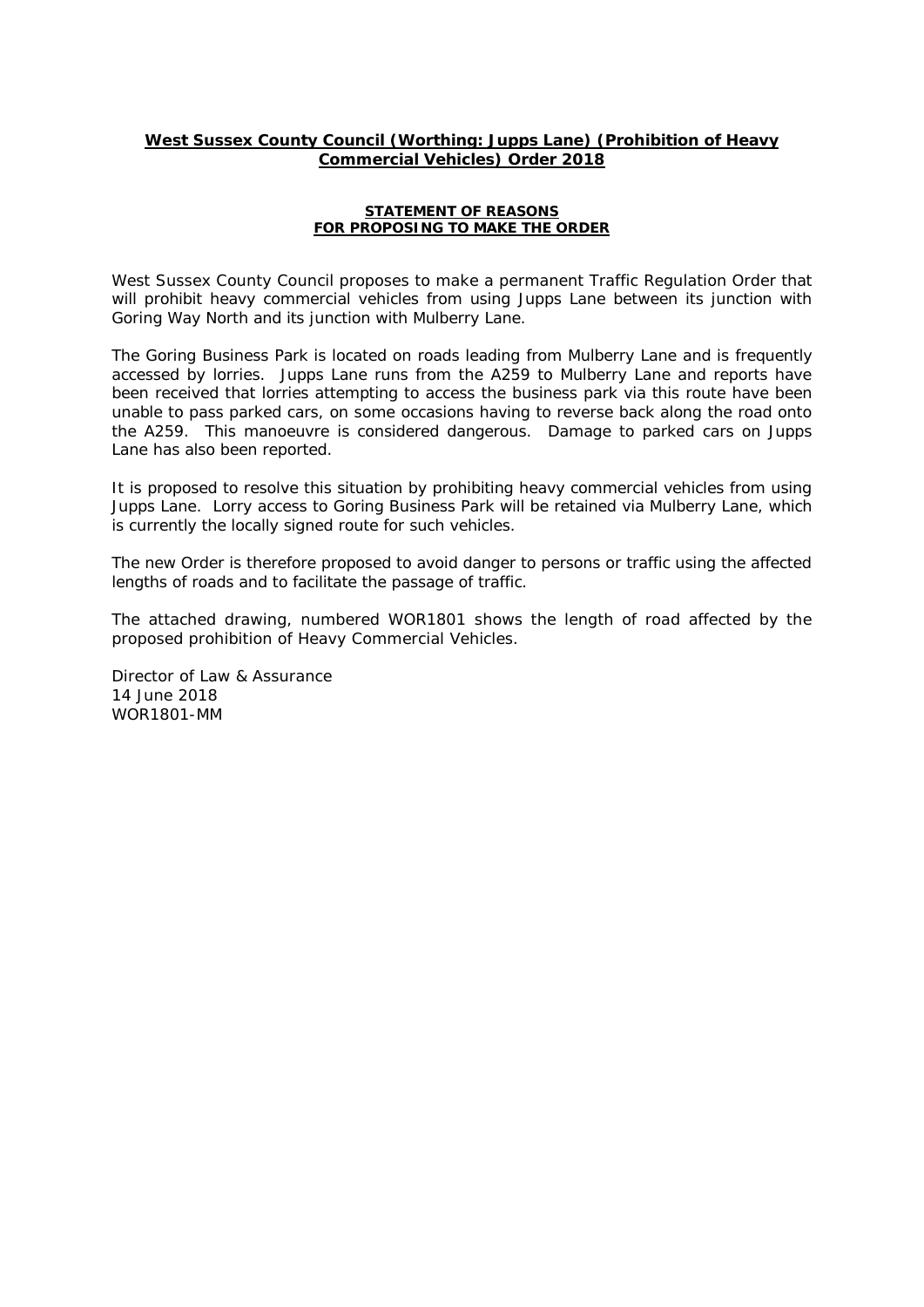# **West Sussex County Council (Worthing: Jupps Lane) (Prohibition of Heavy Commercial Vehicles) Order 2018**

#### **STATEMENT OF REASONS FOR PROPOSING TO MAKE THE ORDER**

West Sussex County Council proposes to make a permanent Traffic Regulation Order that will prohibit heavy commercial vehicles from using Jupps Lane between its junction with Goring Way North and its junction with Mulberry Lane.

The Goring Business Park is located on roads leading from Mulberry Lane and is frequently accessed by lorries. Jupps Lane runs from the A259 to Mulberry Lane and reports have been received that lorries attempting to access the business park via this route have been unable to pass parked cars, on some occasions having to reverse back along the road onto the A259. This manoeuvre is considered dangerous. Damage to parked cars on Jupps Lane has also been reported.

It is proposed to resolve this situation by prohibiting heavy commercial vehicles from using Jupps Lane. Lorry access to Goring Business Park will be retained via Mulberry Lane, which is currently the locally signed route for such vehicles.

The new Order is therefore proposed to avoid danger to persons or traffic using the affected lengths of roads and to facilitate the passage of traffic.

The attached drawing, numbered WOR1801 shows the length of road affected by the proposed prohibition of Heavy Commercial Vehicles.

Director of Law & Assurance 14 June 2018 WOR1801-MM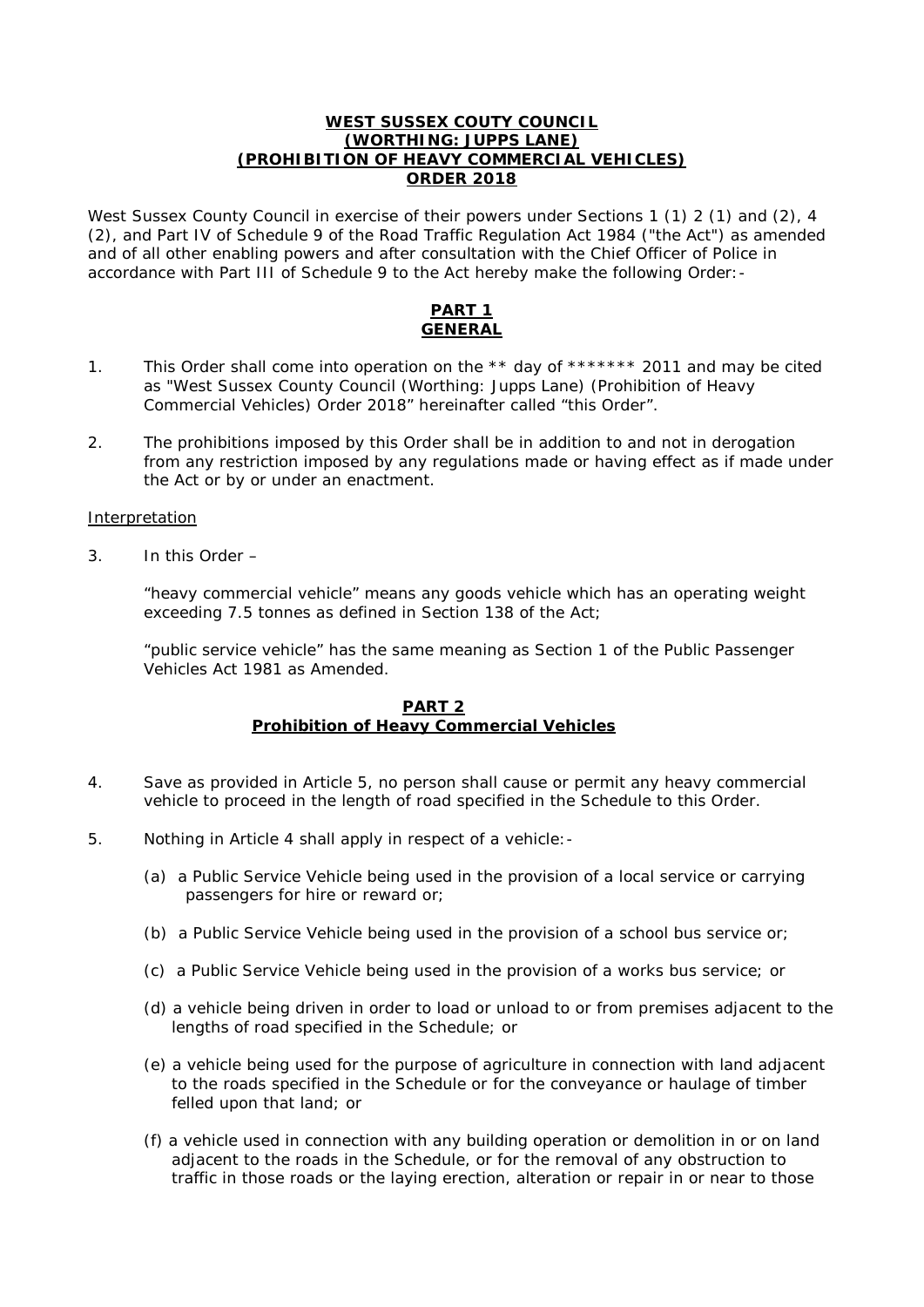## **WEST SUSSEX COUTY COUNCIL (WORTHING: JUPPS LANE) (PROHIBITION OF HEAVY COMMERCIAL VEHICLES) ORDER 2018**

West Sussex County Council in exercise of their powers under Sections 1 (1) 2 (1) and (2), 4 (2), and Part IV of Schedule 9 of the Road Traffic Regulation Act 1984 ("the Act") as amended and of all other enabling powers and after consultation with the Chief Officer of Police in accordance with Part III of Schedule 9 to the Act hereby make the following Order:-

# **PART 1 GENERAL**

- 1. This Order shall come into operation on the \*\* day of \*\*\*\*\*\*\* 2011 and may be cited as "West Sussex County Council (Worthing: Jupps Lane) (Prohibition of Heavy Commercial Vehicles) Order 2018" hereinafter called "this Order".
- 2. The prohibitions imposed by this Order shall be in addition to and not in derogation from any restriction imposed by any regulations made or having effect as if made under the Act or by or under an enactment.

# Interpretation

3. In this Order –

"heavy commercial vehicle" means any goods vehicle which has an operating weight exceeding 7.5 tonnes as defined in Section 138 of the Act;

"public service vehicle" has the same meaning as Section 1 of the Public Passenger Vehicles Act 1981 as Amended.

# **PART 2 Prohibition of Heavy Commercial Vehicles**

- 4. Save as provided in Article 5, no person shall cause or permit any heavy commercial vehicle to proceed in the length of road specified in the Schedule to this Order.
- 5. Nothing in Article 4 shall apply in respect of a vehicle:-
	- (a) a Public Service Vehicle being used in the provision of a local service or carrying passengers for hire or reward or;
	- (b) a Public Service Vehicle being used in the provision of a school bus service or;
	- (c) a Public Service Vehicle being used in the provision of a works bus service; or
	- (d) a vehicle being driven in order to load or unload to or from premises adjacent to the lengths of road specified in the Schedule; or
	- (e) a vehicle being used for the purpose of agriculture in connection with land adjacent to the roads specified in the Schedule or for the conveyance or haulage of timber felled upon that land; or
	- (f) a vehicle used in connection with any building operation or demolition in or on land adjacent to the roads in the Schedule, or for the removal of any obstruction to traffic in those roads or the laying erection, alteration or repair in or near to those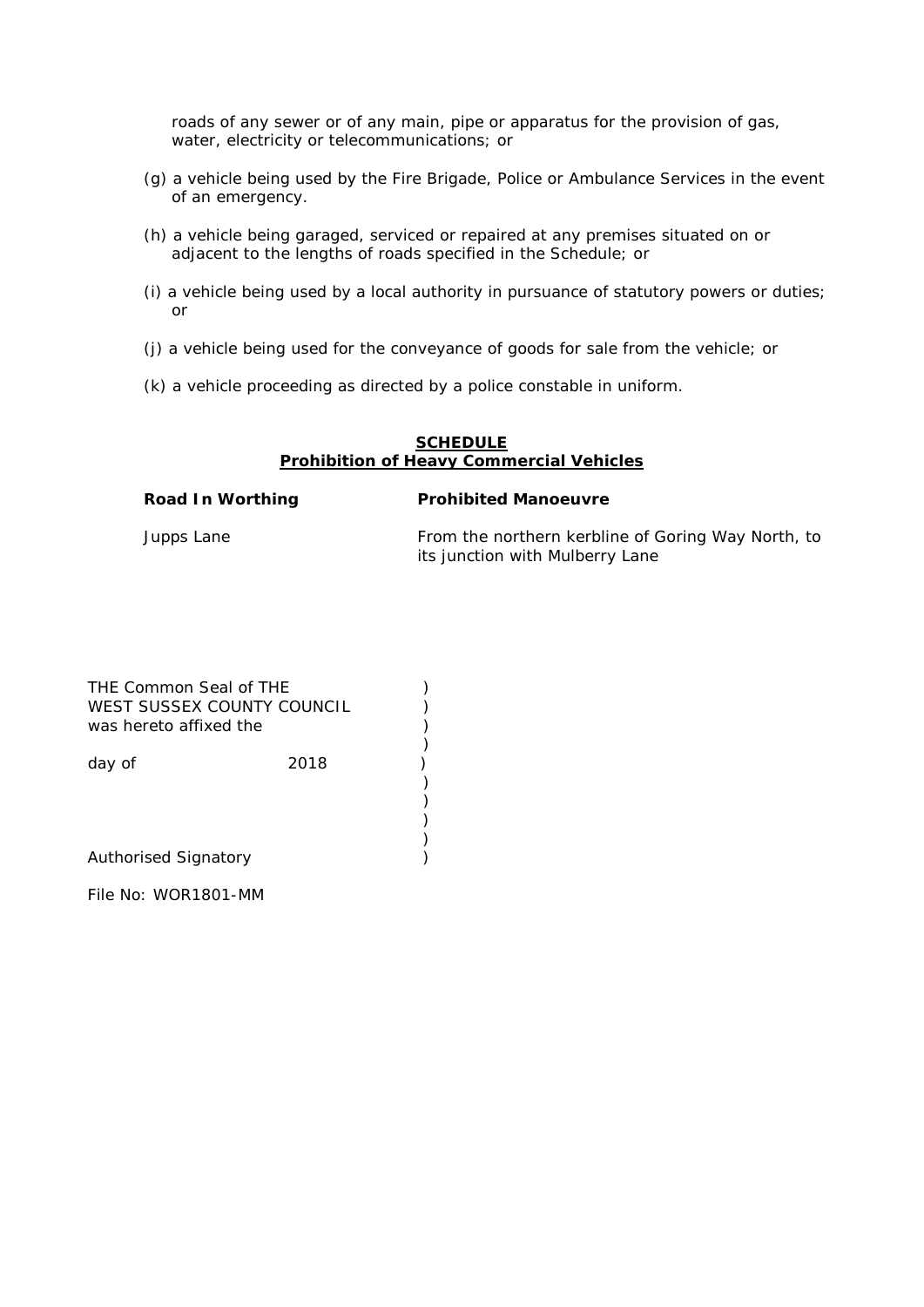roads of any sewer or of any main, pipe or apparatus for the provision of gas, water, electricity or telecommunications; or

- (g) a vehicle being used by the Fire Brigade, Police or Ambulance Services in the event of an emergency.
- (h) a vehicle being garaged, serviced or repaired at any premises situated on or adjacent to the lengths of roads specified in the Schedule; or
- (i) a vehicle being used by a local authority in pursuance of statutory powers or duties; or
- (j) a vehicle being used for the conveyance of goods for sale from the vehicle; or
- (k) a vehicle proceeding as directed by a police constable in uniform.

### **SCHEDULE Prohibition of Heavy Commercial Vehicles**

### **Road In Worthing Prohibited Manoeuvre**

Jupps Lane **From the northern kerbline of Goring Way North**, to its junction with Mulberry Lane

| THE Common Seal of THE<br>WEST SUSSEX COUNTY COUNCIL<br>was hereto affixed the |      |  |
|--------------------------------------------------------------------------------|------|--|
| day of                                                                         | 2018 |  |
| <b>Authorised Signatory</b>                                                    |      |  |
| File No: WOR1801-MM                                                            |      |  |